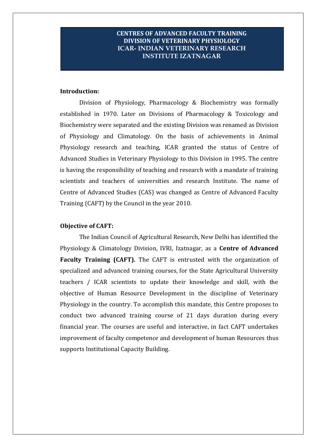### **CENTRES OF ADVANCED FACULTY TRAINING DIVISION OF VETERINARY PHYSIOLOGY ICAR- INDIAN VETERINARY RESEARCH INSTITUTE IZATNAGAR**

#### **Introduction:**

Division of Physiology, Pharmacology & Biochemistry was formally established in 1970. Later on Divisions of Pharmacology & Toxicology and Biochemistry were separated and the existing Division was renamed as Division of Physiology and Climatology. On the basis of achievements in Animal Physiology research and teaching, ICAR granted the status of Centre of Advanced Studies in Veterinary Physiology to this Division in 1995. The centre is having the responsibility of teaching and research with a mandate of training scientists and teachers of universities and research Institute. The name of Centre of Advanced Studies (CAS) was changed as Centre of Advanced Faculty Training (CAFT) by the Council in the year 2010.

#### **Objective of CAFT:**

The Indian Council of Agricultural Research, New Delhi has identified the Physiology & Climatology Division, IVRI, Izatnagar, as a **Centre of Advanced Faculty Training (CAFT).** The CAFT is entrusted with the organization of specialized and advanced training courses, for the State Agricultural University teachers / ICAR scientists to update their knowledge and skill, with the objective of Human Resource Development in the discipline of Veterinary Physiology in the country. To accomplish this mandate, this Centre proposes to conduct two advanced training course of 21 days duration during every financial year. The courses are useful and interactive, in fact CAFT undertakes improvement of faculty competence and development of human Resources thus supports Institutional Capacity Building.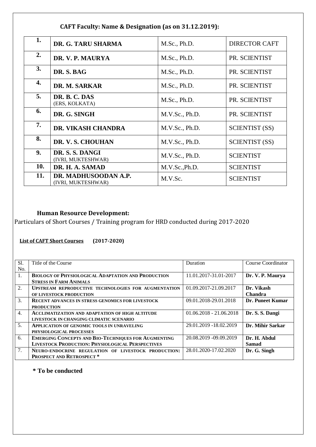| 1.  | DR. G. TARU SHARMA                         | M.Sc., Ph.D.   | <b>DIRECTOR CAFT</b>  |
|-----|--------------------------------------------|----------------|-----------------------|
| 2.  | DR. V. P. MAURYA                           | M.Sc., Ph.D.   | PR. SCIENTIST         |
| 3.  | DR. S. BAG                                 | M.Sc., Ph.D.   | PR. SCIENTIST         |
| 4.  | DR. M. SARKAR                              | M.Sc., Ph.D.   | PR. SCIENTIST         |
| 5.  | DR. B. C. DAS<br>(ERS, KOLKATA)            | M.Sc., Ph.D.   | PR. SCIENTIST         |
| 6.  | DR. G. SINGH                               | M.V.Sc., Ph.D. | PR. SCIENTIST         |
| 7.  | <b>DR. VIKASH CHANDRA</b>                  | M.V.Sc., Ph.D. | <b>SCIENTIST (SS)</b> |
| 8.  | DR. V. S. CHOUHAN                          | M.V.Sc., Ph.D. | <b>SCIENTIST (SS)</b> |
| 9.  | DR. S. S. DANGI<br>(IVRI, MUKTESHWAR)      | M.V.Sc., Ph.D. | <b>SCIENTIST</b>      |
| 10. | DR. H. A. SAMAD                            | M.V.Sc., Ph.D. | <b>SCIENTIST</b>      |
| 11. | DR. MADHUSOODAN A.P.<br>(IVRI, MUKTESHWAR) | M.V.Sc.        | <b>SCIENTIST</b>      |

### **CAFT Faculty: Name & Designation (as on 31.12.2019):**

### **Human Resource Development:**

Particulars of Short Courses / Training program for HRD conducted during 2017-2020

**List of CAFT Short Courses (2017-2020)**

| Sl.              | Title of the Course                                        | Duration                | Course Coordinator |
|------------------|------------------------------------------------------------|-------------------------|--------------------|
| No.              |                                                            |                         |                    |
| $1_{\cdot}$      | <b>BIOLOGY OF PHYSIOLOGICAL ADAPTATION AND PRODUCTION</b>  | 11.01.2017-31.01-2017   | Dr. V. P. Maurya   |
|                  | <b>STRESS IN FARM ANIMALS</b>                              |                         |                    |
| 2.               | UPSTREAM REPRODUCTIVE TECHNOLOGIES FOR AUGMENTATION        | 01.09.2017-21.09.2017   | Dr. Vikash         |
|                  | OF LIVESTOCK PRODUCTION                                    |                         | <b>Chandra</b>     |
| 3.               | <b>RECENT ADVANCES IN STRESS GENOMICS FOR LIVESTOCK</b>    | 09.01.2018-29.01.2018   | Dr. Puneet Kumar   |
|                  | <b>PRODUCTION</b>                                          |                         |                    |
| $\overline{4}$ . | <b>ACCLIMATIZATION AND ADAPTATION OF HIGH ALTITUDE</b>     | $01.062018 - 21.062018$ | Dr. S. S. Dangi    |
|                  | LIVESTOCK IN CHANGING CLIMATIC SCENARIO                    |                         |                    |
| 5.               | <b>APPLICATION OF GENOMIC TOOLS IN UNRAVELING</b>          | 29.01.2019 -18.02.2019  | Dr. Mihir Sarkar   |
|                  | PHYSIOLOGICAL PROCESSES                                    |                         |                    |
| 6.               | <b>EMERGING CONCEPTS AND BIO-TECHNIQUES FOR AUGMENTING</b> | 20.08.2019 -09.09.2019  | Dr. H. Abdul       |
|                  | <b>LIVESTOCK PRODUCTION: PHYSIOLOGICAL PERSPECTIVES</b>    |                         | <b>Samad</b>       |
| 7.               | NEURO-ENDOCRINE REGULATION OF LIVESTOCK PRODUCTION:        | 28.01.2020-17.02.2020   | Dr. G. Singh       |
|                  | PROSPECT AND RETROSPECT*                                   |                         |                    |

**\* To be conducted**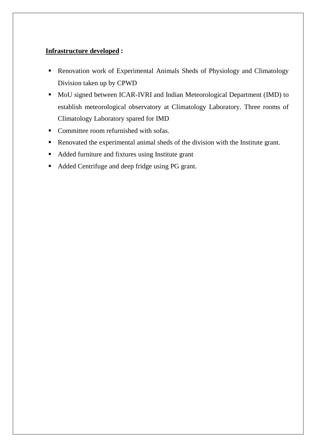### **Infrastructure developed :**

- **Renovation work of Experimental Animals Sheds of Physiology and Climatology** Division taken up by CPWD
- MoU signed between ICAR-IVRI and Indian Meteorological Department (IMD) to establish meteorological observatory at Climatology Laboratory. Three rooms of Climatology Laboratory spared for IMD
- Committee room refurnished with sofas.
- Renovated the experimental animal sheds of the division with the Institute grant.
- Added furniture and fixtures using Institute grant
- Added Centrifuge and deep fridge using PG grant.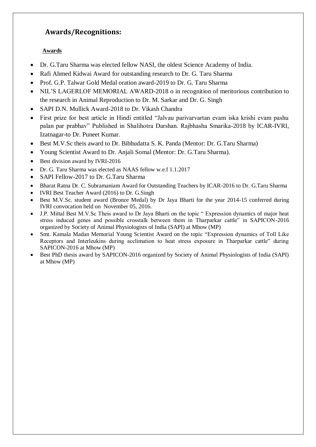# **Awards/Recognitions:**

#### **Awards**

- Dr. G.Taru Sharma was elected fellow NASI, the oldest Science Academy of India.
- Rafi Ahmed Kidwai Award for outstanding research to Dr. G. Taru Sharma
- Prof. G.P. Talwar Gold Medal oration award-2019 to Dr. G. Taru Sharma
- NIL'S LAGERLOF MEMORIAL AWARD-2018 o in recognition of meritorious contribution to the research in Animal Reproduction to Dr. M. Sarkar and Dr. G. Singh
- SAPI D.N. Mullick Award-2018 to Dr. Vikash Chandra
- First prize for best article in Hindi entitled "Jalvau parivarvartan evam iska krishi evam pashu palan par prabhav" Published in Shalihotra Darshan. Rajbhasha Smarika-2018 by ICAR-IVRI, Izatnagar-to Dr. Puneet Kumar.
- Best M.V.Sc theis award to Dr. Bibhudatta S. K. Panda (Mentor: Dr. G.Taru Sharma)
- Young Scientist Award to Dr. Anjali Somal (Mentor: Dr. G.Taru Sharma).
- Best division award by IVRI-2016
- Dr. G. Taru Sharma was elected as NAAS fellow w.e.f 1.1.2017
- SAPI Fellow-2017 to Dr. G.Taru Sharma
- Bharat Ratna Dr. C. Subramaniam Award for Outstanding Teachers by ICAR-2016 to Dr. G.Taru Sharma
- IVRI Best Teacher Award (2016) to Dr. G.Singh
- Best M.V.Sc. student award (Bronze Medal) by Dr Jaya Bharti for the year 2014-15 conferred during IVRI convocation held on November 05, 2016.
- J.P. Mittal Best M.V.Sc Theis award to Dr Jaya Bharti on the topic " Expression dynamics of major heat stress induced genes and possible crosstalk between them in Tharparkar cattle" in SAPICON-2016 organized by Society of Animal Physiologists of India (SAPI) at Mhow (MP)
- Smt. Kamala Madan Memorial Young Scientist Award on the topic "Expression dynamics of Toll Like Receptors and Interleukins during acclimation to heat stress exposure in Tharparkar cattle" during SAPICON-2016 at Mhow (MP)
- Best PhD thesis award by SAPICON-2016 organized by Society of Animal Physiologists of India (SAPI) at Mhow (MP)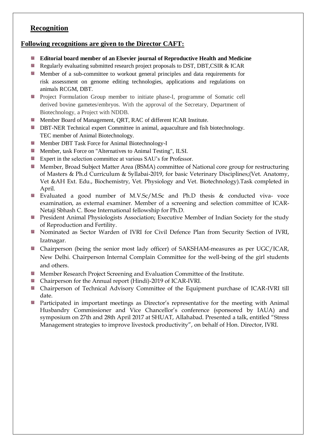### **Recognition**

#### **Following recognitions are given to the Director CAFT:**

- **Editorial board member of an Elsevier journal of Reproductive Health and Medicine**
- Regularly evaluating submitted research project proposals to DST, DBT, CSIR & ICAR
- **Member of a sub-committee to workout general principles and data requirements for** risk assessment on genome editing technologies, applications and regulations on animals RCGM, DBT.
- **Project Formulation Group member to initiate phase-I, programme of Somatic cell** derived bovine gametes/embryos. With the approval of the Secretary, Department of Biotechnology, a Project with NDDB.
- **Member Board of Management, ORT, RAC of different ICAR Institute.**
- **DBT-NER Technical expert Committee in animal, aquaculture and fish biotechnology.** TEC member of Animal Biotechnology.
- **Member DBT Task Force for Animal Biotechnology-I**
- **Member, task Force on "Alternatives to Animal Testing", ILSI.**
- Expert in the selection committee at various SAU's for Professor.
- **Member, Broad Subject Matter Area (BSMA) committee of National core group for restructuring** of Masters & Ph.d Curriculum & Syllabai-2019, for basic Veterinary Disciplines;(Vet. Anatomy, Vet &AH Ext. Edu., Biochemistry, Vet. Physiology and Vet. Biotechnology).Task completed in April.
- Evaluated a good number of M.V.Sc/M.Sc and Ph.D thesis & conducted viva- voce examination, as external examiner. Member of a screening and selection committee of ICAR-Netaji Sbhash C. Bose International fellowship for Ph.D.
- **President Animal Physiologists Association; Executive Member of Indian Society for the study** of Reproduction and Fertility.
- **Nominated as Sector Warden of IVRI for Civil Defence Plan from Security Section of IVRI,** Izatnagar.
- Chairperson (being the senior most lady officer) of SAKSHAM-measures as per UGC/ICAR, New Delhi. Chairperson Internal Complain Committee for the well-being of the girl students and others.
- **Member Research Project Screening and Evaluation Committee of the Institute.**
- **Chairperson for the Annual report (Hindi)-2019 of ICAR-IVRI.**
- Chairperson of Technical Advisory Committee of the Equipment purchase of ICAR-IVRI till date.
- **Participated in important meetings as Director's representative for the meeting with Animal** Husbandry Commissioner and Vice Chancellor's conference (sponsored by IAUA) and symposium on 27th and 28th April 2017 at SHUAT, Allahabad. Presented a talk, entitled "Stress Management strategies to improve livestock productivity", on behalf of Hon. Director, IVRI.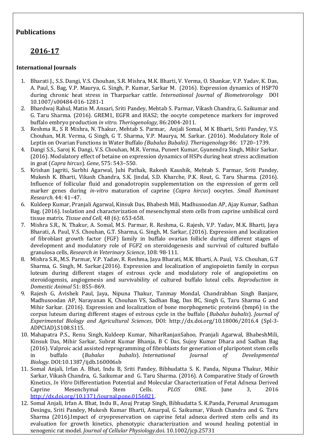### **Publications**

# **2016-17**

#### **International Journals**

- 1. Bharati J., S.S. Dangi, V.S. Chouhan, S.R. Mishra, M.K. Bharti, V. Verma, O. Shankar, V.P. Yadav, K. Das, A. Paul, S. Bag, V.P. Maurya, G. Singh, P. Kumar, Sarkar M. (2016). Expression dynamics of HSP70 during chronic heat stress in Tharparkar cattle. *International Journal of Biometeorology* DOI 10.1007/s00484-016-1281-1
- 2. Bhardwaj Rahul, Matin M. Ansari, Sriti Pandey, Mehtab S. Parmar, Vikash Chandra, G. Saikumar and G. Taru Sharma. (2016). GREM1, EGFR and HAS2; the oocyte competence markers for improved buffalo embryo production *in vitro. Theriogenology,* 86:2004-2011.
- 3. Reshma R., S R Mishra, N. Thakur, Mehtab S. Parmar, Anjali Somal, M K Bharti, Sriti Pandey, V.S. Chouhan, M.R. Verma, G Singh, G T. Sharma, V.P. Maurya, M. Sarkar. (2016). Modulatory Role of Leptin on Ovarian Functions in Water Buffalo *(Bubalus Bubalis). Theriogenology* 86: 1720–1739.
- 4. Dangi S.S., Saroj K. Dangi, V.S. Chouhan, M.R. Verma, Puneet Kumar, Gyanendra Singh, Mihir Sarkar. (2016). Modulatory effect of betaine on expression dynamics of HSPs during heat stress acclimation in goat (*Capra hircus*). *Gene*, 575: 543–550.
- 5. Krishan Jagriti, Surbhi Agarwal, Juhi Pathak, Rakesh Kaushik, Mehtab S. Parmar, Sriti Pandey, Mukesh K. Bharti, Vikash Chandra, S.K. Jindal, S.D. Kharche, P.K. Rout, G. Taru Sharma. (2016). Influence of follicular fluid and gonadotropin supplementation on the expression of germ cell marker genes during *in-vitro* maturation of caprine (*Capra hircus*) oocytes. *Small Ruminant Research*. 44: 41–47.
- 6. Kuldeep Kumar, Pranjali Agarwal, Kinsuk Das, Bhabesh Mili, Madhusoodan AP, Ajay Kumar, Sadhan Bag. (2016). Isolation and characterization of mesenchymal stem cells from caprine umbilical cord tissue matrix. *Tissue and Cell,* 48 (6): 653-658.
- 7. Mishra S.R., N. Thakur, A. Somal, M.S. Parmar, R. Reshma, G. Rajesh, V.P. Yadav, M.K. Bharti, Jaya Bharati, A. Paul, V.S. Chouhan, G.T. Sharma, G. Singh, M. Sarkar, (2016). Expression and localization of fibroblast growth factor (FGF) family in buffalo ovarian follicle during different stages of development and modulatory role of FGF2 on steroidogenesis and survival of cultured buffalo granulosa cells, *Research in Veterinary Science*, 108: 98-111.
- 8. Mishra S.R., M.S. Parmar, V.P. Yadav, R. Reshma, Jaya Bharati, M.K. Bharti, A. Paul, V.S. Chouhan, G.T Sharma, G. Singh, M. Sarkar.(2016). Expression and localization of angiopoietin family in corpus luteum during different stages of estrous cycle and modulatory role of angiopoietins on steroidogensis, angiogenesis and survivability of cultured buffalo luteal cells. *Reproduction in Domestic Animal* 51: 855–869.
- 9. Rajesh G, Avishek Paul, Jaya, Nipuna Thakur, Tanmay Mondal, Chandrabhan Singh Banjare, Madhusoodan AP, Narayanan K, Chouhan VS, Sadhan Bag, Das BC, Singh G, Taru Sharma G and Mihir Sarkar. (2016). Expression and localization of bone morphogenetic protein6 (bmp6) in the corpus luteum during different stages of estrous cycle in the buffalo (*Bubalus bubalis*). *Journal of Experimental Biology and Agricultural Sciences*, DOI: http://dx.doi.org/10.18006/2016.4 (Spl-3- ADPCIAD).S108.S115.
- 10. Mahapatra P.S., Renu Singh, Kuldeep Kumar, NiharRanjanSahoo, Pranjali Agarwal, BhabeshMili, Kinsuk Das, Mihir Sarkar, Subrat Kumar Bhanja, B C Das, Sujoy Kumar Dhara and Sadhan Bag (2016). Valproic acid assisted reprogramming of fibroblasts for generation of pluripotent stem cells in buffalo (*Bubalus bubalis*). *International Journal of Developmental Biology.* DOI:10.1387/ijdb.160006sb
- 11. Somal Anjali, Irfan A. Bhat, Indu B, Sriti Pandey, Bibhudatta S. K. Panda, Nipuna Thakur, Mihir Sarkar, Vikash Chandra, G. Saikumar and G. Taru Sharma. (2016). A Comparative Study of Growth Kinetics, *In Vitro* Differentiation Potential and Molecular Characterization of Fetal Adnexa Derived Caprine Mesenchymal Stem Cells. *PLOS ONE*. June 3, 2016 [http://dx.doi.org/10.1371/journal.pone.0156821.](http://dx.doi.org/10.1371/journal.pone.0156821)
- 12. Somal Anjali, Irfan A. Bhat, Indu B., Anuj Pratap Singh, Bibhudatta S. K.Panda, Perumal Arumugam Desingu, Sriti Pandey, Mukesh Kumar Bharti, Amarpal, G. Saikumar, Vikash Chandra and G. Taru Sharma (2016).Impact of cryopreservation on caprine fetal adnexa derived stem cells and its evaluation for growth kinetics, phenotypic characterization and wound healing potential in xenogenic rat model. *Journal of Cellular Physiology*.doi. 10.1002/jcp.25731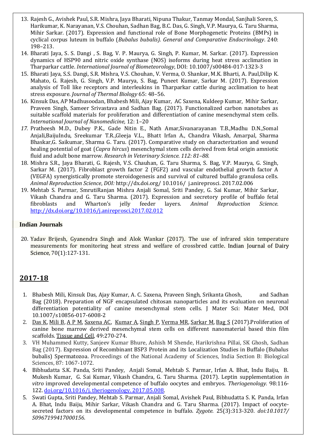- 13. Rajesh G., Avishek Paul, S.R. Mishra, Jaya Bharati, Nipuna Thakur, Tanmay Mondal, Sanjhali Soren, S. Harikumar, K. Narayanan, V.S. Chouhan, Sadhan Bag, B.C. Das, G. Singh, V.P. Maurya, G. Taru Sharma, Mihir Sarkar. (2017). Expression and functional role of Bone Morphogenetic Proteins (BMPs) in cyclical corpus luteum in buffalo (*Bubalus bubalis). General and Comparative Endocrinology*. 240: 198–213.
- 14. Bharati Jaya, S. S. Dangi , S. Bag, V. P. Maurya, G. Singh, P. Kumar, M. Sarkar. (2017). Expression dynamics of HSP90 and nitric oxide synthase (NOS) isoforms during heat stress acclimation in Tharparkar cattle. *International Journal of Biometeorology*, DOI: 10.1007/s00484-017-1323-3
- 15. Bharati Jaya, S.S. Dangi, S.R. Mishra, V.S. Chouhan, V. Verma, O. Shankar, M.K. Bharti, A. Paul,Dilip K. Mahato, G. Rajesh, G. Singh, V.P. Maurya, S. Bag, Puneet Kumar, Sarkar M. (2017). Expression analysis of Toll like receptors and interleukins in Tharparkar cattle during acclimation to heat stress exposure. *Journal of Thermal Biology* 65: 48–56.
- 16. Kinsuk Das, AP Madhusoodan, Bhabesh Mili, Ajay Kumar, AC Saxena, Kuldeep Kumar, Mihir Sarkar, Praveen Singh, Sameer Srivastava and Sadhan Bag. (2017). Functionalized carbon nanotubes as suitable scaffold materials for proliferation and differentiation of canine mesenchymal stem cells*. International Journal of Nanomedicine,* 12: 1–20
- *17.* Pratheesh M.D., Dubey P.K., Gade Nitin E., Nath Amar,Sivanarayanan T.B.,Madhu D.N.,Somal Anjali,BaijuIndu, Sreekumar T.R.,Gleeja V.L., Bhatt Irfan A., Chandra Vikash, Amarpal, Sharma Bhaskar,G. Saikumar, Sharma G. Taru. (2017). Comparative study on characterization and wound healing potential of goat (*Capra hircus*) mesenchymal stem cells derived from fetal origin amniotic fluid and adult bone marrow*. Research in Veterinary Science. 112: 81–88.*
- 18. Mishra S.R., Jaya Bharati, G. Rajesh, V.S. Chauhan, G. Taru Sharma, S. Bag, V.P. Maurya, G. Singh, Sarkar M. (2017). Fibroblast growth factor 2 (FGF2) and vascular endothelial growth factor A (VEGFA) synergistically promote steroidogenesis and survival of cultured buffalo granulosa cells. *Animal Reproduction Science*, *DOI:* http://dx.doi.org/ 10.1016/ j.anireprosci. 2017.02.006
- 19. Mehtab S. Parmar, SmrutiRanjan Mishra Anjali Somal, Sriti Pandey, G. Sai Kumar, Mihir Sarkar, Vikash Chandra and G. Taru Sharma. (2017). Expression and secretory profile of buffalo fetal fibroblasts and Wharton's jelly feeder layers. *Animal Reproduction Science.*  <http://dx.doi.org/10.1016/j.anireprosci.2017.02.012>

#### **Indian Journals**

20. Yadav Brijesh, Gyanendra Singh and Alok Wankar (2017). The use of infrared skin temperature measurements for monitoring heat stress and welfare of crossbred cattle. Indian Journal of Dairy Science, 70(1):127-131.

### **2017-18**

- 1. Bhabesh Mili, Kinsuk Das, Ajay Kumar, A. C. Saxena, Praveen Singh, Srikanta Ghosh, and Sadhan Bag (2018). Preparation of NGF encapsulated chitosan nanoparticles and its evaluation on neuronal differentiation potentiality of canine mesenchymal stem cells. J Mater Sci: Mater Med, DOI 10.1007/s10856-017-6008-2
- 2. [Das K,](https://www.ncbi.nlm.nih.gov/pubmed/?term=Das%20K%5BAuthor%5D&cauthor=true&cauthor_uid=28190551) [Mili B,](https://www.ncbi.nlm.nih.gov/pubmed/?term=Mili%20B%5BAuthor%5D&cauthor=true&cauthor_uid=28190551) [A P M,](https://www.ncbi.nlm.nih.gov/pubmed/?term=A%20P%20M%5BAuthor%5D&cauthor=true&cauthor_uid=28190551) [Saxena AC,](https://www.ncbi.nlm.nih.gov/pubmed/?term=Saxena%20AC%5BAuthor%5D&cauthor=true&cauthor_uid=28190551) [Kumar A,](https://www.ncbi.nlm.nih.gov/pubmed/?term=Kumar%20A%5BAuthor%5D&cauthor=true&cauthor_uid=28190551) [Singh P,](https://www.ncbi.nlm.nih.gov/pubmed/?term=Singh%20P%5BAuthor%5D&cauthor=true&cauthor_uid=28190551) [Verma MR,](https://www.ncbi.nlm.nih.gov/pubmed/?term=Verma%20MR%5BAuthor%5D&cauthor=true&cauthor_uid=28190551) [Sarkar M,](https://www.ncbi.nlm.nih.gov/pubmed/?term=Sarkar%20M%5BAuthor%5D&cauthor=true&cauthor_uid=28190551) [Bag S](https://www.ncbi.nlm.nih.gov/pubmed/?term=Bag%20S%5BAuthor%5D&cauthor=true&cauthor_uid=28190551) (2017).Proliferation of canine bone marrow derived mesenchymal stem cells on different nanomaterial based thin film scaffolds[. Tissue and Cell,](https://www.ncbi.nlm.nih.gov/pubmed/28190551) 49:270-274.
- 3. VH Muhammed Kutty, Sanjeev Kumar Bhure, Ashish M Shende, Harikrishna Pillai, SK Ghosh, Sadhan Bag (2017). [Expression of Recombinant BSP3 Protein and its Localization Studies in Buffalo \(Bubalus](https://link.springer.com/article/10.1007/s40011-015-0663-1)  [bubalis\) Spermatozoa.](https://link.springer.com/article/10.1007/s40011-015-0663-1) Proceedings of the National Academy of Sciences, India Section B: Biological Sciences, 87: 1067-1072.
- 4. Bibhudatta S.K. Panda, Sriti Pandey, Anjali Somal, Mehtab S. Parmar, Irfan A. Bhat, Indu Baiju, B. Mukesh Kumar, G. Sai Kumar, Vikash Chandra, G. Taru Sharma. (2017). Leptin supplementation *in vitro* improved developmental competence of buffalo oocytes and embryos. *Theriogenology.* 98:116- 122[. doi.org/10.1016/j. theriogenology. 2017.05.008.](https://doi.org/10.1016/j.theriogenology.2017.05.008)
- 5. Swati Gupta, Sriti Pandey, Mehtab S. Parmar, Anjali Somal, Avishek Paul, Bibhudatta S. K. Panda, Irfan A. Bhat, Indu Baiju, Mihir Sarkar, Vikash Chandra and G. Taru Sharma. (2017). Impact of oocytesecreted factors on its developmental competence in buffalo. *Zygote.* 25(3):313-320. *doi:10.1017/ S0967199417000156.*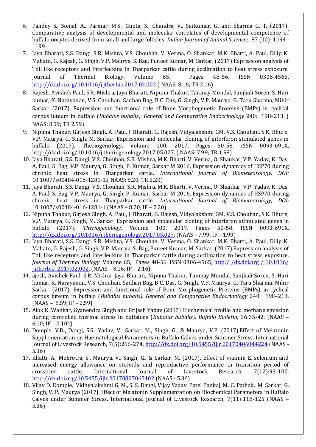- 6. Pandey S., Somal, A., Parmar, M.S., Gupta, S., Chandra, V., SaiKumar, G. and Sharma G. T. (2017). Comparative analysis of developmental and molecular correlates of developmental competence of buffalo oocytes derived from small and large follicles. *Indian Journal of Animal Sciences.* 87 (10): 1194– 1199.
- 7. Jaya Bharati, S.S. Dangi, S.R. Mishra, V.S. Chouhan, V. Verma, O. Shankar, M.K. Bharti, A. Paul, Dilip K. Mahato, G. Rajesh, G. Singh, V.P. Maurya, S. Bag, Puneet Kumar, M. Sarkar, (2017).Expression analysis of Toll like receptors and interleukins in Tharparkar cattle during acclimation to heat stress exposure. Journal of Thermal Biology, Volume 65, Pages 48-56, ISSN 0306-4565, [http://dx.doi.org/10.1016/j.jtherbio.2017.02.002.\(](http://dx.doi.org/10.1016/j.jtherbio.2017.02.002) NAAS: 8.16; TR 2.16)
- 8. Rajesh, Avishek Paul, S.R. Mishra, Jaya Bharati, Nipuna Thakur, Tanmay Mondal, Sanjhali Soren, S. Hari kumar, K. Narayanan, V.S. Chouhan, Sadhan Bag, B.C. Das, G. Singh, V.P. Maurya, G. Taru Sharma, Mihir Sarkar. (2017). Expression and functional role of Bone Morphogenetic Proteins (BMPs) in cyclical corpus luteum in buffalo (*Bubalus bubalis). General and Comparative Endocrinology* 240: 198–213. ( NAAS: 8.59; TR 2.59)
- 9. Nipuna Thakur, Girjesh Singh, A. Paul, J. Bharati, G. Rajesh, Vidyalakshmi GM, V.S. Chouhan, S.K. Bhure, V.P. Maurya, G. Singh, M. Sarkar, Expression and molecular cloning of interferon stimulated genes in buffalo (2017), Theriogenology, Volume 100, 2017, Pages 50-58, ISSN 0093-691X, http://dx.doi.org/10.1016/j.theriogenology.2017.05.027. ( NAAS: 7.99; TR 1.98)
- 10. Jaya Bharati, S.S. Dangi, V.S. Chouhan, S.R. Mishra, M.K. Bharti, V. Verma, O. Shankar, V.P. Yadav, K. Das, A. Paul, S. Bag, V.P. Maurya, G. Singh, P. Kumar, Sarkar M 2016. Expression dynamics of HSP70 during chronic heat stress in Tharparkar cattle. *International Journal of Biometeorology, DOI:*  10.1007/s00484-016-1281-1.( NAAS: 8.20; TR 2.20)
- 11. Jaya Bharati, S.S. Dangi, V.S. Chouhan, S.R. Mishra, M.K. Bharti, V. Verma, O. Shankar, V.P. Yadav, K. Das, A. Paul, S. Bag, V.P. Maurya, G. Singh, P. Kumar, Sarkar M 2016. Expression dynamics of HSP70 during chronic heat stress in Tharparkar cattle. *International Journal of Biometeorology, DOI:*  10.1007/s00484-016-1281-1 (NAAS – 8.20; IF – 2.20)
- 12. Nipuna Thakur, Girjesh Singh, A. Paul, J. Bharati, G. Rajesh, Vidyalakshmi GM, V.S. Chouhan, S.K. Bhure, V.P. Maurya, G. Singh, M. Sarkar, Expression and molecular cloning of interferon stimulated genes in buffalo (2017), *Theriogenology*, Volume 100, 2017, Pages 50-58, ISSN 0093-691X, [http://dx.doi.org/10.1016/j.theriogenology.2017.05.027.](http://dx.doi.org/10.1016/j.theriogenology.2017.05.027) (NAAS – 7.99; IF – 1.99)
- 13. Jaya Bharati, S.S. Dangi, S.R. Mishra, V.S. Chouhan, V. Verma, O. Shankar, M.K. Bharti, A. Paul, Dilip K. Mahato, G. Rajesh, G. Singh, V.P. Maurya, S. Bag, Puneet Kumar, M. Sarkar, (2017).Expression analysis of Toll like receptors and interleukins in Tharparkar cattle during acclimation to heat stress exposure. *Journal of Thermal Biology*, Volume 65, Pages 48-56, ISSN 0306-4565, [http:/ /dx.doi.org / 10.1016/](http://dx.doi.org/10.1016/j.jtherbio.2017.02.002)  [j.jtherbio. 2017.02.002.](http://dx.doi.org/10.1016/j.jtherbio.2017.02.002) (NAAS – 8.16; IF – 2.16)
- 14. ajesh, Avishek Paul, S.R. Mishra, Jaya Bharati, Nipuna Thakur, Tanmay Mondal, Sanjhali Soren, S. Hari kumar, K. Narayanan, V.S. Chouhan, Sadhan Bag, B.C. Das, G. Singh, V.P. Maurya, G. Taru Sharma, Mihir Sarkar. (2017). Expression and functional role of Bone Morphogenetic Proteins (BMPs) in cyclical corpus luteum in buffalo (*Bubalus bubalis). General and Comparative Endocrinology* 240: 198–213.  $(NAAS - 8.59; IF - 2.59)$
- 15. Alok K. Wankar, Gyanendra Singh and Brijesh Yadav (2017) Biochemical profile and methane emission during controlled thermal stress in buffaloes (*Bubalus bubalis*). *Buffalo Bulletin*, 36:35-42. (NAAS – 6.10; IF – 0.104)
- 16. Domple, V.D., Dangi, S.S., Yadav, V., Sarkar, M., Singh, G., & Maurya, V.P. (2017).Effect of Melatonin Supplementation on Haematological Parameters in Buffalo Calves under Summer Stress. International Journal of Livestock Research, 7(5):266-274.<http://dx.doi.org/10.5455/ijlr.20170406044224> (NAAS -5.36)
- 17. Khatti, A., Mehrotra, S., Maurya, V., Singh, G., & Sarkar, M. (2017). Effect of vitamin E, selenium and increased energy allowance on steroids and reproductive performance in transition period of crossbred cattle. International Journal of Livestock Research, 7(12):93-100. <http://dx.doi.org/10.5455/ijlr.20170807065402> (NAAS - 5.36)
- 18. Vijay D. Domple, Vidhyalakshmi G. M., S. S. Dangi, Vijay Yadav, Patel Pankaj, M. C. Pathak, M. Sarkar, G. Singh, V. P. Maurya (2017) Effect of Melatonin Supplementation on Biochemical Parameters in Buffalo Calves under Summer Stress. International Journal of Livestock Research, 7(11):118-125 (NAAS – 5.36)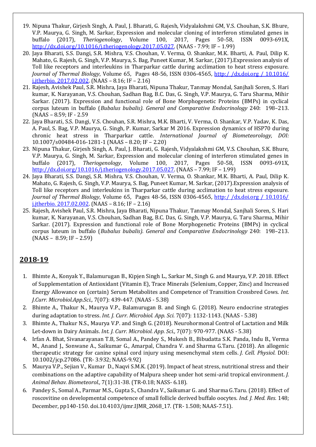- 19. Nipuna Thakur, Girjesh Singh, A. Paul, J. Bharati, G. Rajesh, Vidyalakshmi GM, V.S. Chouhan, S.K. Bhure, V.P. Maurya, G. Singh, M. Sarkar, Expression and molecular cloning of interferon stimulated genes in buffalo (2017), *Theriogenology*, Volume 100, 2017, Pages 50-58, ISSN 0093-691X, [http://dx.doi.org/10.1016/j.theriogenology.2017.05.027.](http://dx.doi.org/10.1016/j.theriogenology.2017.05.027) (NAAS - 7.99; IF – 1.99)
- 20. Jaya Bharati, S.S. Dangi, S.R. Mishra, V.S. Chouhan, V. Verma, O. Shankar, M.K. Bharti, A. Paul, Dilip K. Mahato, G. Rajesh, G. Singh, V.P. Maurya, S. Bag, Puneet Kumar, M. Sarkar, (2017).Expression analysis of Toll like receptors and interleukins in Tharparkar cattle during acclimation to heat stress exposure. *Journal of Thermal Biology*, Volume 65, Pages 48-56, ISSN 0306-4565, [http:/ /dx.doi.org / 10.1016/](http://dx.doi.org/10.1016/j.jtherbio.2017.02.002)  [j.jtherbio. 2017.02.002.](http://dx.doi.org/10.1016/j.jtherbio.2017.02.002) (NAAS – 8.16; IF – 2.16)
- 21. Rajesh, Avishek Paul, S.R. Mishra, Jaya Bharati, Nipuna Thakur, Tanmay Mondal, Sanjhali Soren, S. Hari kumar, K. Narayanan, V.S. Chouhan, Sadhan Bag, B.C. Das, G. Singh, V.P. Maurya, G. Taru Sharma, Mihir Sarkar. (2017). Expression and functional role of Bone Morphogenetic Proteins (BMPs) in cyclical corpus luteum in buffalo (*Bubalus bubalis). General and Comparative Endocrinology* 240: 198–213. (NAAS – 8.59; IF - 2.59
- 22. Jaya Bharati, S.S. Dangi, V.S. Chouhan, S.R. Mishra, M.K. Bharti, V. Verma, O. Shankar, V.P. Yadav, K. Das, A. Paul, S. Bag, V.P. Maurya, G. Singh, P. Kumar, Sarkar M 2016. Expression dynamics of HSP70 during chronic heat stress in Tharparkar cattle. *International Journal of Biometeorology, DOI:*  10.1007/s00484-016-1281-1 (NAAS – 8.20; IF – 2.20)
- 23. Nipuna Thakur, Girjesh Singh, A. Paul, J. Bharati, G. Rajesh, Vidyalakshmi GM, V.S. Chouhan, S.K. Bhure, V.P. Maurya, G. Singh, M. Sarkar, Expression and molecular cloning of interferon stimulated genes in buffalo (2017), *Theriogenology*, Volume 100, 2017, Pages 50-58, ISSN 0093-691X, [http://dx.doi.org/10.1016/j.theriogenology.2017.05.027.](http://dx.doi.org/10.1016/j.theriogenology.2017.05.027) (NAAS – 7.99; IF – 1.99)
- 24. Jaya Bharati, S.S. Dangi, S.R. Mishra, V.S. Chouhan, V. Verma, O. Shankar, M.K. Bharti, A. Paul, Dilip K. Mahato, G. Rajesh, G. Singh, V.P. Maurya, S. Bag, Puneet Kumar, M. Sarkar, (2017).Expression analysis of Toll like receptors and interleukins in Tharparkar cattle during acclimation to heat stress exposure. *Journal of Thermal Biology*, Volume 65, Pages 48-56, ISSN 0306-4565, [http:/ /dx.doi.org / 10.1016/](http://dx.doi.org/10.1016/j.jtherbio.2017.02.002)  [j.jtherbio. 2017.02.002.](http://dx.doi.org/10.1016/j.jtherbio.2017.02.002) (NAAS – 8.16; IF – 2.16)
- 25. Rajesh, Avishek Paul, S.R. Mishra, Jaya Bharati, Nipuna Thakur, Tanmay Mondal, Sanjhali Soren, S. Hari kumar, K. Narayanan, V.S. Chouhan, Sadhan Bag, B.C. Das, G. Singh, V.P. Maurya, G. Taru Sharma, Mihir Sarkar. (2017). Expression and functional role of Bone Morphogenetic Proteins (BMPs) in cyclical corpus luteum in buffalo (*Bubalus bubalis). General and Comparative Endocrinology* 240: 198–213.  $(NAAS - 8.59; IF - 2.59)$

# **2018-19**

- 1. Bhimte A., Konyak Y., Balamurugan B., Kipjen Singh L., Sarkar M., Singh G. and Maurya, V.P. 2018. Effect of Supplementation of Antioxidant (Vitamin E), Trace Minerals (Selenium, Copper, Zinc) and Increased Energy Allowance on (certain) Serum Metabolites and Competence of Transition Crossbred Cows. *Int. J.Curr. Microbiol.App.Sci.,* 7(07): 439-447. (NAAS - 5.38)
- 2. Bhimte A., Thakur N., Maurya V.P., Balamurugan B. and Singh G. (2018). Neuro endocrine strategies during adaptation to stress. *Int. J. Curr. Microbiol. App. Sci.* 7(07): 1132-1143. (NAAS - 5.38)
- 3. Bhimte A., Thakur N.S., Maurya V.P. and Singh G. (2018). Neurohormonal Control of Lactation and Milk Let-down in Dairy Animals. *Int. J. Curr. Microbiol. App. Sci.,* 7(07): 970-977. (NAAS - 5.38)
- 4. Irfan A. Bhat, Sivanarayanan T.B, Somal A., Pandey S., Mukesh B., Bibudatta S.K. Panda, Indu B., Verma M., Anand J., Sonwane A., Saikumar G., Amarpal, Chandra V. and Sharma G.Taru. (2018). An allogenic therapeutic strategy for canine spinal cord injury using mesenchymal stem cells. *J. Cell. Physiol.* DOI: 10.1002/jcp.27086. (TR- 3.932; NAAS-9.92)
- 5. Maurya V.P., Sejian V., Kumar D., Naqvi S.M.K. (2019). Impact of heat stress, nutritional stress and their combinations on the adaptive capability of Malpura sheep under hot semi-arid tropical environment. *J. Animal Behav. Biometeorol.,* 7(1):31-38. (TR-0.18; NASS- 6.18).
- 6. Pandey S., Somal A., Parmar M.S., Gupta S., Chandra V., Saikumar G. and Sharma G.Taru. (2018). Effect of roscovitine on developmental competence of small follicle derived buffalo oocytes. *Ind. J. Med. Res.* 148; December, pp140-150. doi.10.4103/ijmr.IJMR\_2068\_17. (TR- 1.508; NAAS-7.51).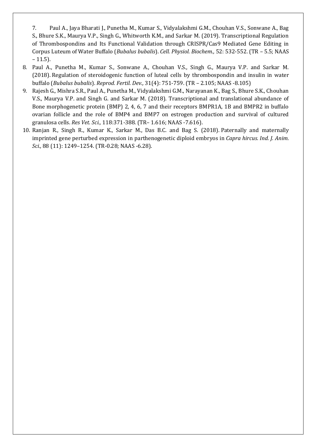7. Paul A., Jaya Bharati J., Punetha M., Kumar S., Vidyalakshmi G.M., Chouhan V.S., Sonwane A., Bag S., Bhure S.K., Maurya V.P., Singh G., Whitworth K.M., and Sarkar M. (2019). Transcriptional Regulation of Thrombospondins and Its Functional Validation through CRISPR/Cas9 Mediated Gene Editing in Corpus Luteum of Water Buffalo (*Bubalus bubalis*). *Cell. Physiol. Biochem.,* 52: 532-552. (TR – 5.5; NAAS  $-11.5$ ).

- 8. Paul A., Punetha M., Kumar S., Sonwane A., Chouhan V.S., Singh G., Maurya V.P. and Sarkar M. (2018). Regulation of steroidogenic function of luteal cells by thrombospondin and insulin in water buffalo (*Bubalus bubalis*). *Reprod. Fertil. Dev.,* 31(4): 751-759. (TR – 2.105; NAAS -8.105)
- 9. Rajesh G., Mishra S.R., Paul A., Punetha M., Vidyalakshmi G.M., Narayanan K., Bag S., Bhure S.K., Chouhan V.S., Maurya V.P. and Singh G. and Sarkar M. (2018). Transcriptional and translational abundance of Bone morphogenetic protein (BMP) 2, 4, 6, 7 and their receptors BMPR1A, 1B and BMPR2 in buffalo ovarian follicle and the role of BMP4 and BMP7 on estrogen production and survival of cultured granulosa cells. *Res Vet. Sci.,* 118:371-388. (TR– 1.616; NAAS -7.616).
- 10. Ranjan R., Singh R., Kumar K., Sarkar M., Das B.C. and Bag S. (2018). Paternally and maternally imprinted gene perturbed expression in parthenogenetic diploid embryos in *Capra hircus. Ind. J. Anim. Sci.,* 88 (11): 1249–1254. (TR-0.28; NAAS -6.28).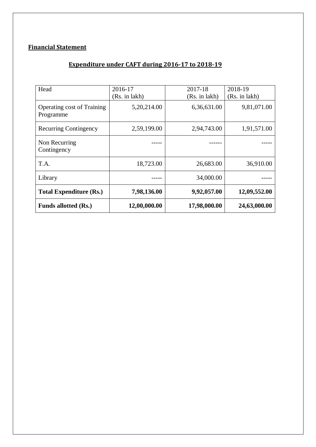# **Financial Statement**

# **Expenditure under CAFT during 2016-17 to 2018-19**

| Head                                           | 2016-17       | 2017-18       | 2018-19       |
|------------------------------------------------|---------------|---------------|---------------|
|                                                | (Rs. in lakh) | (Rs. in lakh) | (Rs. in lakh) |
| <b>Operating cost of Training</b><br>Programme | 5,20,214.00   | 6,36,631.00   | 9,81,071.00   |
| <b>Recurring Contingency</b>                   | 2,59,199.00   | 2,94,743.00   | 1,91,571.00   |
| Non Recurring<br>Contingency                   |               |               |               |
| T.A.                                           | 18,723.00     | 26,683.00     | 36,910.00     |
| Library                                        |               | 34,000.00     |               |
| <b>Total Expenditure (Rs.)</b>                 | 7,98,136.00   | 9,92,057.00   | 12,09,552.00  |
| <b>Funds allotted (Rs.)</b>                    | 12,00,000.00  | 17,98,000.00  | 24,63,000.00  |